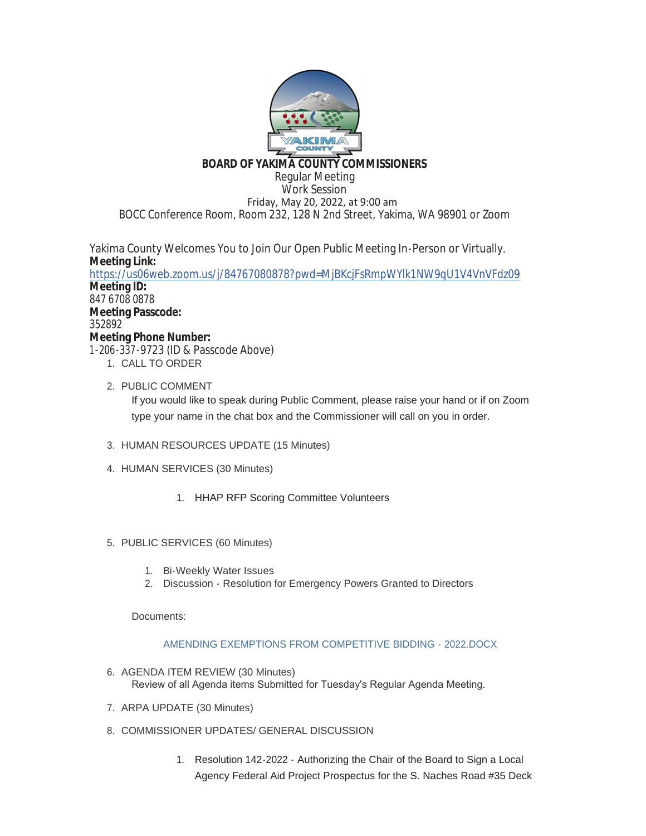

## **BOARD OF YAKIMA COUNTY COMMISSIONERS**

Regular Meeting Work Session Friday, May 20, 2022, at 9:00 am BOCC Conference Room, Room 232, 128 N 2nd Street, Yakima, WA 98901 or Zoom

Yakima County Welcomes You to Join Our Open Public Meeting In-Person or Virtually. **Meeting Link:** <https://us06web.zoom.us/j/84767080878?pwd=MjBKcjFsRmpWYlk1NW9qU1V4VnVFdz09> **Meeting ID:** 847 6708 0878 **Meeting Passcode:** 352892 **Meeting Phone Number:** 1-206-337-9723 (ID & Passcode Above) 1. CALL TO ORDER

2. PUBLIC COMMENT

If you would like to speak during Public Comment, please raise your hand or if on Zoom type your name in the chat box and the Commissioner will call on you in order.

- 3. HUMAN RESOURCES UPDATE (15 Minutes)
- 4. HUMAN SERVICES (30 Minutes)
	- 1. HHAP RFP Scoring Committee Volunteers
- 5. PUBLIC SERVICES (60 Minutes)
	- 1. Bi-Weekly Water Issues
	- 2. Discussion Resolution for Emergency Powers Granted to Directors

Documents:

## [AMENDING EXEMPTIONS FROM COMPETITIVE BIDDING - 2022.DOCX](https://www.yakimacounty.us/AgendaCenter/ViewFile/Item/4336?fileID=16201)

- 6. AGENDA ITEM REVIEW (30 Minutes) Review of all Agenda items Submitted for Tuesday's Regular Agenda Meeting.
- 7. ARPA UPDATE (30 Minutes)
- 8. COMMISSIONER UPDATES/ GENERAL DISCUSSION
	- 1. Resolution 142-2022 Authorizing the Chair of the Board to Sign a Local Agency Federal Aid Project Prospectus for the S. Naches Road #35 Deck